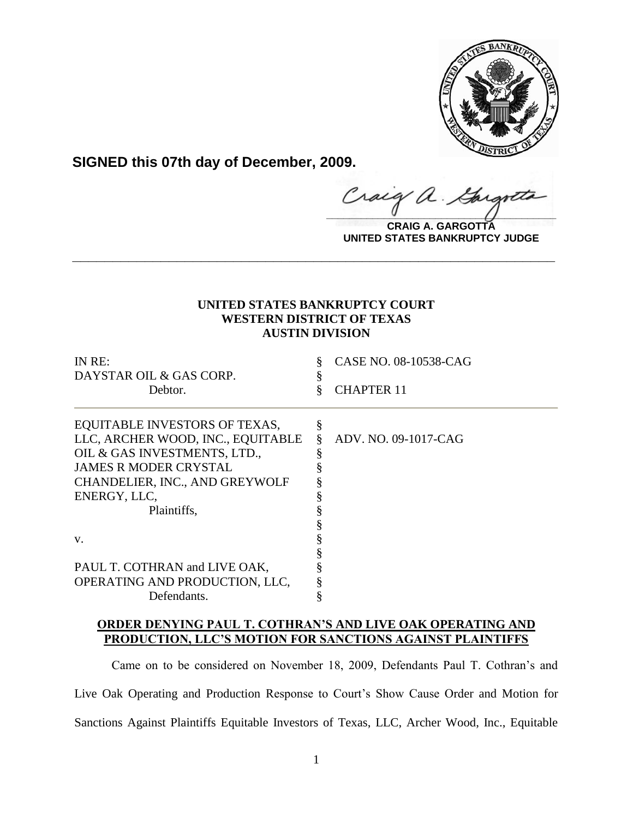

**SIGNED this 07th day of December, 2009.**

 $\alpha$ .  $\frac{1}{2}$ 

**CRAIG A. GARGOTTA UNITED STATES BANKRUPTCY JUDGE**

## **UNITED STATES BANKRUPTCY COURT WESTERN DISTRICT OF TEXAS AUSTIN DIVISION**

**\_\_\_\_\_\_\_\_\_\_\_\_\_\_\_\_\_\_\_\_\_\_\_\_\_\_\_\_\_\_\_\_\_\_\_\_\_\_\_\_\_\_\_\_\_\_\_\_\_\_\_\_\_\_\_\_\_\_\_\_**

| IN RE:                            | CASE NO. 08-10538-CAG |
|-----------------------------------|-----------------------|
| DAYSTAR OIL & GAS CORP.           |                       |
| Debtor.                           | <b>CHAPTER 11</b>     |
| EQUITABLE INVESTORS OF TEXAS,     |                       |
| LLC, ARCHER WOOD, INC., EQUITABLE | ADV. NO. 09-1017-CAG  |
| OIL & GAS INVESTMENTS, LTD.,      |                       |
| <b>JAMES R MODER CRYSTAL</b>      |                       |
| CHANDELIER, INC., AND GREYWOLF    |                       |
| ENERGY, LLC,                      |                       |
| Plaintiffs,                       |                       |
|                                   |                       |
| V.                                |                       |
|                                   |                       |
| PAUL T. COTHRAN and LIVE OAK,     |                       |
| OPERATING AND PRODUCTION, LLC,    |                       |
| Defendants.                       |                       |

## **ORDER DENYING PAUL T. COTHRAN'S AND LIVE OAK OPERATING AND PRODUCTION, LLC'S MOTION FOR SANCTIONS AGAINST PLAINTIFFS**

Came on to be considered on November 18, 2009, Defendants Paul T. Cothran's and Live Oak Operating and Production Response to Court's Show Cause Order and Motion for Sanctions Against Plaintiffs Equitable Investors of Texas, LLC, Archer Wood, Inc., Equitable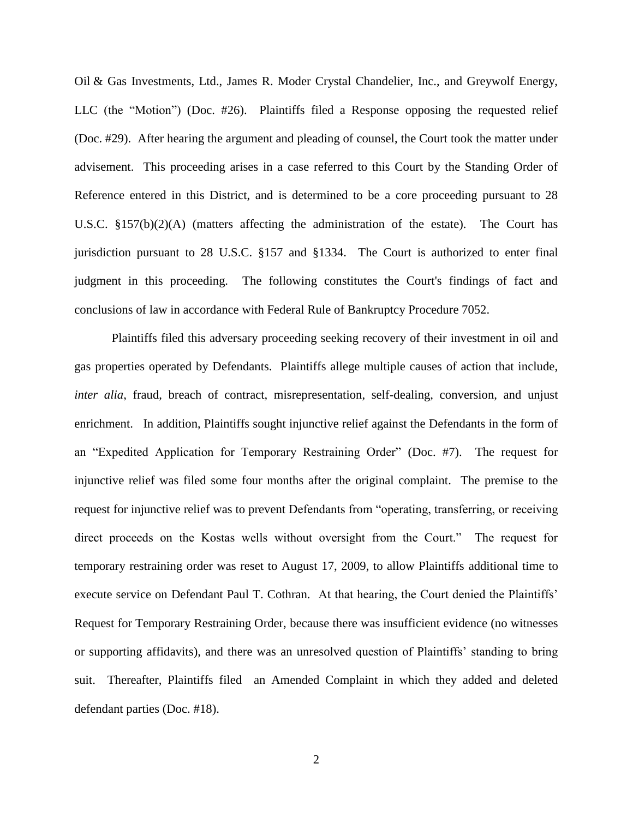Oil & Gas Investments, Ltd., James R. Moder Crystal Chandelier, Inc., and Greywolf Energy, LLC (the "Motion") (Doc. #26). Plaintiffs filed a Response opposing the requested relief (Doc. #29). After hearing the argument and pleading of counsel, the Court took the matter under advisement. This proceeding arises in a case referred to this Court by the Standing Order of Reference entered in this District, and is determined to be a core proceeding pursuant to 28 U.S.C. §157(b)(2)(A) (matters affecting the administration of the estate). The Court has jurisdiction pursuant to 28 U.S.C. §157 and §1334. The Court is authorized to enter final judgment in this proceeding. The following constitutes the Court's findings of fact and conclusions of law in accordance with Federal Rule of Bankruptcy Procedure 7052.

Plaintiffs filed this adversary proceeding seeking recovery of their investment in oil and gas properties operated by Defendants. Plaintiffs allege multiple causes of action that include, *inter alia*, fraud, breach of contract, misrepresentation, self-dealing, conversion, and unjust enrichment. In addition, Plaintiffs sought injunctive relief against the Defendants in the form of an "Expedited Application for Temporary Restraining Order" (Doc. #7). The request for injunctive relief was filed some four months after the original complaint. The premise to the request for injunctive relief was to prevent Defendants from "operating, transferring, or receiving direct proceeds on the Kostas wells without oversight from the Court." The request for temporary restraining order was reset to August 17, 2009, to allow Plaintiffs additional time to execute service on Defendant Paul T. Cothran. At that hearing, the Court denied the Plaintiffs' Request for Temporary Restraining Order, because there was insufficient evidence (no witnesses or supporting affidavits), and there was an unresolved question of Plaintiffs' standing to bring suit. Thereafter, Plaintiffs filed an Amended Complaint in which they added and deleted defendant parties (Doc. #18).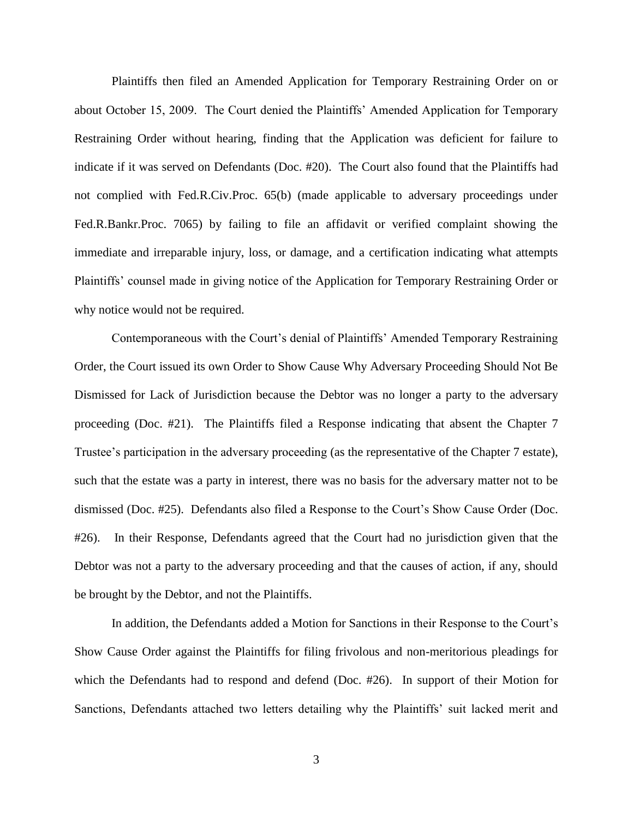Plaintiffs then filed an Amended Application for Temporary Restraining Order on or about October 15, 2009. The Court denied the Plaintiffs' Amended Application for Temporary Restraining Order without hearing, finding that the Application was deficient for failure to indicate if it was served on Defendants (Doc. #20). The Court also found that the Plaintiffs had not complied with Fed.R.Civ.Proc. 65(b) (made applicable to adversary proceedings under Fed.R.Bankr.Proc. 7065) by failing to file an affidavit or verified complaint showing the immediate and irreparable injury, loss, or damage, and a certification indicating what attempts Plaintiffs' counsel made in giving notice of the Application for Temporary Restraining Order or why notice would not be required.

Contemporaneous with the Court's denial of Plaintiffs' Amended Temporary Restraining Order, the Court issued its own Order to Show Cause Why Adversary Proceeding Should Not Be Dismissed for Lack of Jurisdiction because the Debtor was no longer a party to the adversary proceeding (Doc. #21). The Plaintiffs filed a Response indicating that absent the Chapter 7 Trustee's participation in the adversary proceeding (as the representative of the Chapter 7 estate), such that the estate was a party in interest, there was no basis for the adversary matter not to be dismissed (Doc. #25). Defendants also filed a Response to the Court's Show Cause Order (Doc. #26). In their Response, Defendants agreed that the Court had no jurisdiction given that the Debtor was not a party to the adversary proceeding and that the causes of action, if any, should be brought by the Debtor, and not the Plaintiffs.

In addition, the Defendants added a Motion for Sanctions in their Response to the Court's Show Cause Order against the Plaintiffs for filing frivolous and non-meritorious pleadings for which the Defendants had to respond and defend (Doc. #26). In support of their Motion for Sanctions, Defendants attached two letters detailing why the Plaintiffs' suit lacked merit and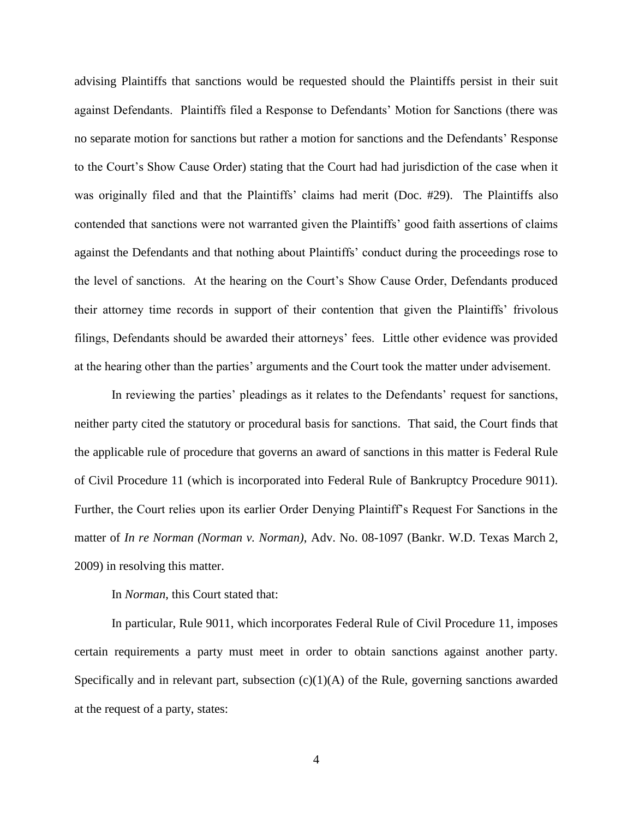advising Plaintiffs that sanctions would be requested should the Plaintiffs persist in their suit against Defendants. Plaintiffs filed a Response to Defendants' Motion for Sanctions (there was no separate motion for sanctions but rather a motion for sanctions and the Defendants' Response to the Court's Show Cause Order) stating that the Court had had jurisdiction of the case when it was originally filed and that the Plaintiffs' claims had merit (Doc. #29). The Plaintiffs also contended that sanctions were not warranted given the Plaintiffs' good faith assertions of claims against the Defendants and that nothing about Plaintiffs' conduct during the proceedings rose to the level of sanctions. At the hearing on the Court's Show Cause Order, Defendants produced their attorney time records in support of their contention that given the Plaintiffs' frivolous filings, Defendants should be awarded their attorneys' fees. Little other evidence was provided at the hearing other than the parties' arguments and the Court took the matter under advisement.

In reviewing the parties' pleadings as it relates to the Defendants' request for sanctions, neither party cited the statutory or procedural basis for sanctions. That said, the Court finds that the applicable rule of procedure that governs an award of sanctions in this matter is Federal Rule of Civil Procedure 11 (which is incorporated into Federal Rule of Bankruptcy Procedure 9011). Further, the Court relies upon its earlier Order Denying Plaintiff's Request For Sanctions in the matter of *In re Norman (Norman v. Norman)*, Adv. No. 08-1097 (Bankr. W.D. Texas March 2, 2009) in resolving this matter.

In *Norman*, this Court stated that:

In particular, Rule 9011, which incorporates Federal Rule of Civil Procedure 11, imposes certain requirements a party must meet in order to obtain sanctions against another party. Specifically and in relevant part, subsection  $(c)(1)(A)$  of the Rule, governing sanctions awarded at the request of a party, states:

4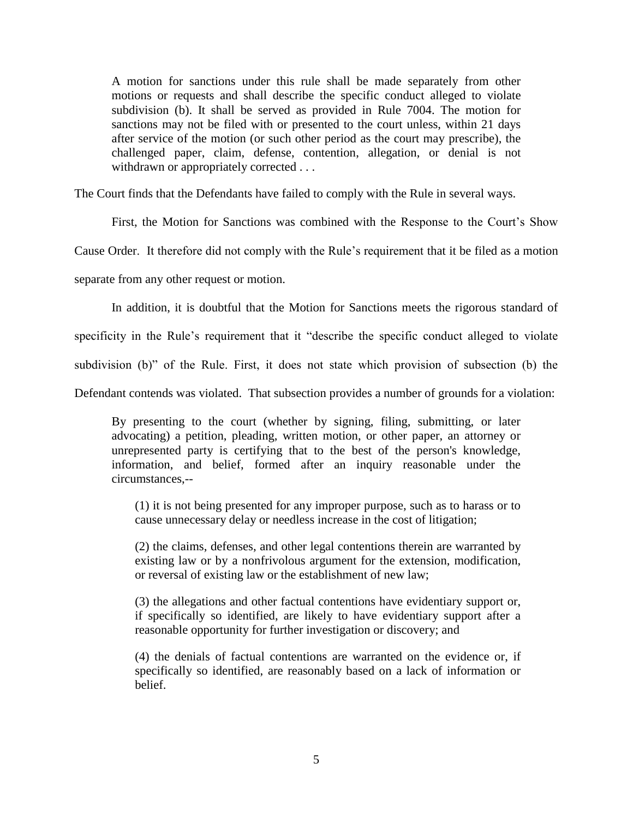A motion for sanctions under this rule shall be made separately from other motions or requests and shall describe the specific conduct alleged to violate subdivision (b). It shall be served as provided in Rule 7004. The motion for sanctions may not be filed with or presented to the court unless, within 21 days after service of the motion (or such other period as the court may prescribe), the challenged paper, claim, defense, contention, allegation, or denial is not withdrawn or appropriately corrected . . .

The Court finds that the Defendants have failed to comply with the Rule in several ways.

First, the Motion for Sanctions was combined with the Response to the Court's Show

Cause Order. It therefore did not comply with the Rule's requirement that it be filed as a motion

separate from any other request or motion.

In addition, it is doubtful that the Motion for Sanctions meets the rigorous standard of

specificity in the Rule's requirement that it "describe the specific conduct alleged to violate

subdivision (b)" of the Rule. First, it does not state which provision of subsection (b) the

Defendant contends was violated. That subsection provides a number of grounds for a violation:

By presenting to the court (whether by signing, filing, submitting, or later advocating) a petition, pleading, written motion, or other paper, an attorney or unrepresented party is certifying that to the best of the person's knowledge, information, and belief, formed after an inquiry reasonable under the circumstances,--

(1) it is not being presented for any improper purpose, such as to harass or to cause unnecessary delay or needless increase in the cost of litigation;

(2) the claims, defenses, and other legal contentions therein are warranted by existing law or by a nonfrivolous argument for the extension, modification, or reversal of existing law or the establishment of new law;

(3) the allegations and other factual contentions have evidentiary support or, if specifically so identified, are likely to have evidentiary support after a reasonable opportunity for further investigation or discovery; and

(4) the denials of factual contentions are warranted on the evidence or, if specifically so identified, are reasonably based on a lack of information or belief.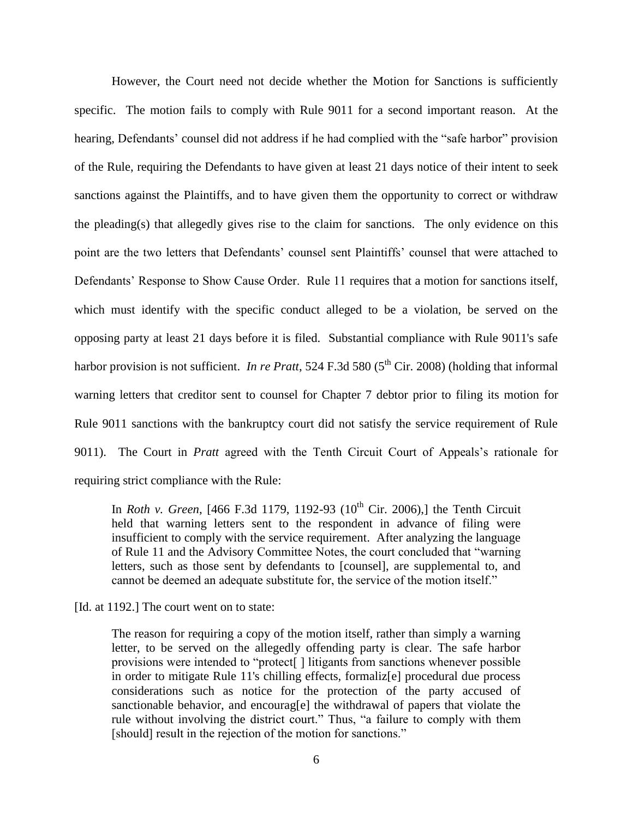However, the Court need not decide whether the Motion for Sanctions is sufficiently specific. The motion fails to comply with Rule 9011 for a second important reason. At the hearing, Defendants' counsel did not address if he had complied with the "safe harbor" provision of the Rule, requiring the Defendants to have given at least 21 days notice of their intent to seek sanctions against the Plaintiffs, and to have given them the opportunity to correct or withdraw the pleading(s) that allegedly gives rise to the claim for sanctions. The only evidence on this point are the two letters that Defendants' counsel sent Plaintiffs' counsel that were attached to Defendants' Response to Show Cause Order. Rule 11 requires that a motion for sanctions itself, which must identify with the specific conduct alleged to be a violation, be served on the opposing party at least 21 days before it is filed. Substantial compliance with Rule 9011's safe harbor provision is not sufficient. *In re Pratt*, 524 F.3d 580 (5<sup>th</sup> Cir. 2008) (holding that informal warning letters that creditor sent to counsel for Chapter 7 debtor prior to filing its motion for Rule 9011 sanctions with the bankruptcy court did not satisfy the service requirement of Rule 9011). The Court in *Pratt* agreed with the Tenth Circuit Court of Appeals's rationale for requiring strict compliance with the Rule:

In *Roth v. Green*, [466 F.3d 1179, 1192-93 ( $10^{th}$  Cir. 2006),] the Tenth Circuit held that warning letters sent to the respondent in advance of filing were insufficient to comply with the service requirement. After analyzing the language of Rule 11 and the Advisory Committee Notes, the court concluded that "warning letters, such as those sent by defendants to [counsel], are supplemental to, and cannot be deemed an adequate substitute for, the service of the motion itself."

[Id. at 1192.] The court went on to state:

The reason for requiring a copy of the motion itself, rather than simply a warning letter, to be served on the allegedly offending party is clear. The safe harbor provisions were intended to "protect[ ] litigants from sanctions whenever possible in order to mitigate Rule 11's chilling effects, formaliz[e] procedural due process considerations such as notice for the protection of the party accused of sanctionable behavior, and encourag[e] the withdrawal of papers that violate the rule without involving the district court." Thus, "a failure to comply with them [should] result in the rejection of the motion for sanctions."